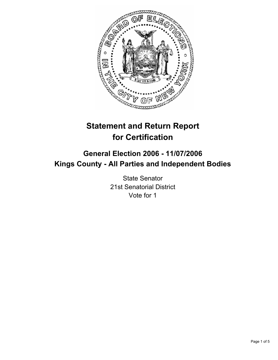

# **Statement and Return Report for Certification**

# **General Election 2006 - 11/07/2006 Kings County - All Parties and Independent Bodies**

State Senator 21st Senatorial District Vote for 1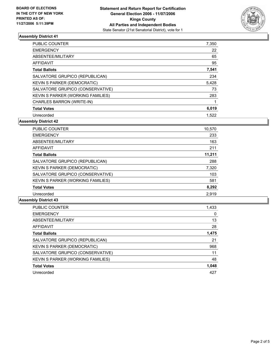

# **Assembly District 41**

| PUBLIC COUNTER                    | 7,350 |
|-----------------------------------|-------|
| <b>EMERGENCY</b>                  | 22    |
| ABSENTEE/MILITARY                 | 65    |
| AFFIDAVIT                         | 95    |
| <b>Total Ballots</b>              | 7,541 |
| SALVATORE GRUPICO (REPUBLICAN)    | 234   |
| KEVIN S PARKER (DEMOCRATIC)       | 5,428 |
| SALVATORE GRUPICO (CONSERVATIVE)  | 73    |
| KEVIN S PARKER (WORKING FAMILIES) | 283   |
| CHARLES BARRON (WRITE-IN)         |       |
| <b>Total Votes</b>                | 6,019 |
| Unrecorded                        | 1.522 |

**Assembly District 42**

| PUBLIC COUNTER                    | 10,570 |
|-----------------------------------|--------|
| <b>EMERGENCY</b>                  | 233    |
| ABSENTEE/MILITARY                 | 163    |
| AFFIDAVIT                         | 211    |
| <b>Total Ballots</b>              | 11,211 |
| SALVATORE GRUPICO (REPUBLICAN)    | 288    |
| KEVIN S PARKER (DEMOCRATIC)       | 7,320  |
| SALVATORE GRUPICO (CONSERVATIVE)  | 103    |
| KEVIN S PARKER (WORKING FAMILIES) | 581    |
| <b>Total Votes</b>                | 8,292  |
| Unrecorded                        | 2.919  |

# **Assembly District 43**

| <b>PUBLIC COUNTER</b>             | 1,433 |
|-----------------------------------|-------|
| <b>EMERGENCY</b>                  | 0     |
| ABSENTEE/MILITARY                 | 13    |
| AFFIDAVIT                         | 28    |
| <b>Total Ballots</b>              | 1,475 |
| SALVATORE GRUPICO (REPUBLICAN)    | 21    |
| KEVIN S PARKER (DEMOCRATIC)       | 968   |
| SALVATORE GRUPICO (CONSERVATIVE)  | 11    |
| KEVIN S PARKER (WORKING FAMILIES) | 48    |
| <b>Total Votes</b>                | 1,048 |
| Unrecorded                        | 427   |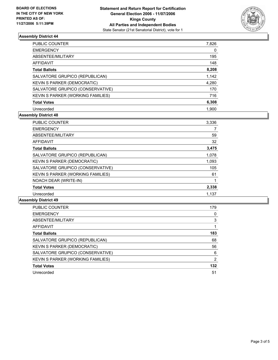

# **Assembly District 44**

| <b>PUBLIC COUNTER</b>             | 7,826 |
|-----------------------------------|-------|
| <b>EMERGENCY</b>                  | 0     |
| ABSENTEE/MILITARY                 | 195   |
| <b>AFFIDAVIT</b>                  | 148   |
| <b>Total Ballots</b>              | 8,208 |
| SALVATORE GRUPICO (REPUBLICAN)    | 1,142 |
| KEVIN S PARKER (DEMOCRATIC)       | 4,280 |
| SALVATORE GRUPICO (CONSERVATIVE)  | 170   |
| KEVIN S PARKER (WORKING FAMILIES) | 716   |
| <b>Total Votes</b>                | 6,308 |
| Unrecorded                        | 1.900 |

# **Assembly District 48**

| PUBLIC COUNTER                    | 3,336 |
|-----------------------------------|-------|
| <b>EMERGENCY</b>                  |       |
| ABSENTEE/MILITARY                 | 59    |
| AFFIDAVIT                         | 32    |
| <b>Total Ballots</b>              | 3,475 |
| SALVATORE GRUPICO (REPUBLICAN)    | 1,078 |
| KEVIN S PARKER (DEMOCRATIC)       | 1,093 |
| SALVATORE GRUPICO (CONSERVATIVE)  | 105   |
| KEVIN S PARKER (WORKING FAMILIES) | 61    |
| NOACH DEAR (WRITE-IN)             |       |
| <b>Total Votes</b>                | 2,338 |
| Unrecorded                        | 1.137 |

### **Assembly District 49**

| PUBLIC COUNTER                    | 179 |
|-----------------------------------|-----|
| <b>EMERGENCY</b>                  |     |
| ABSENTEE/MILITARY                 | 3   |
| AFFIDAVIT                         |     |
| <b>Total Ballots</b>              | 183 |
| SALVATORE GRUPICO (REPUBLICAN)    | 68  |
| KEVIN S PARKER (DEMOCRATIC)       | 56  |
| SALVATORE GRUPICO (CONSERVATIVE)  | 6   |
| KEVIN S PARKER (WORKING FAMILIES) | 2   |
| <b>Total Votes</b>                | 132 |
| Unrecorded                        | 51  |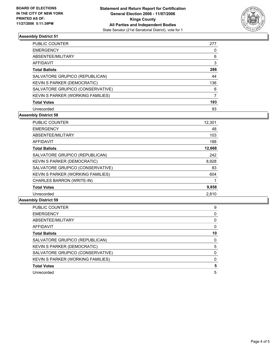

# **Assembly District 51**

| PUBLIC COUNTER                    | 277 |
|-----------------------------------|-----|
| <b>EMERGENCY</b>                  |     |
| ABSENTEE/MILITARY                 | 6   |
| <b>AFFIDAVIT</b>                  | 3   |
| <b>Total Ballots</b>              | 286 |
| SALVATORE GRUPICO (REPUBLICAN)    | 44  |
| KEVIN S PARKER (DEMOCRATIC)       | 136 |
| SALVATORE GRUPICO (CONSERVATIVE)  | 6   |
| KEVIN S PARKER (WORKING FAMILIES) |     |
| <b>Total Votes</b>                | 193 |
| Unrecorded                        | 93  |

# **Assembly District 58**

| <b>PUBLIC COUNTER</b>                    | 12,301 |
|------------------------------------------|--------|
| <b>EMERGENCY</b>                         | 48     |
| ABSENTEE/MILITARY                        | 103    |
| <b>AFFIDAVIT</b>                         | 188    |
| <b>Total Ballots</b>                     | 12,668 |
| SALVATORE GRUPICO (REPUBLICAN)           | 242    |
| KEVIN S PARKER (DEMOCRATIC)              | 8,928  |
| SALVATORE GRUPICO (CONSERVATIVE)         | 83     |
| <b>KEVIN S PARKER (WORKING FAMILIES)</b> | 604    |
| CHARLES BARRON (WRITE-IN)                |        |
| <b>Total Votes</b>                       | 9,858  |
| Unrecorded                               | 2.810  |

# **Assembly District 59**

| PUBLIC COUNTER                    | 9  |
|-----------------------------------|----|
| <b>EMERGENCY</b>                  |    |
| ABSENTEE/MILITARY                 |    |
| <b>AFFIDAVIT</b>                  |    |
| <b>Total Ballots</b>              | 10 |
| SALVATORE GRUPICO (REPUBLICAN)    |    |
| KEVIN S PARKER (DEMOCRATIC)       |    |
| SALVATORE GRUPICO (CONSERVATIVE)  |    |
| KEVIN S PARKER (WORKING FAMILIES) |    |
| <b>Total Votes</b>                |    |
| Unrecorded                        |    |